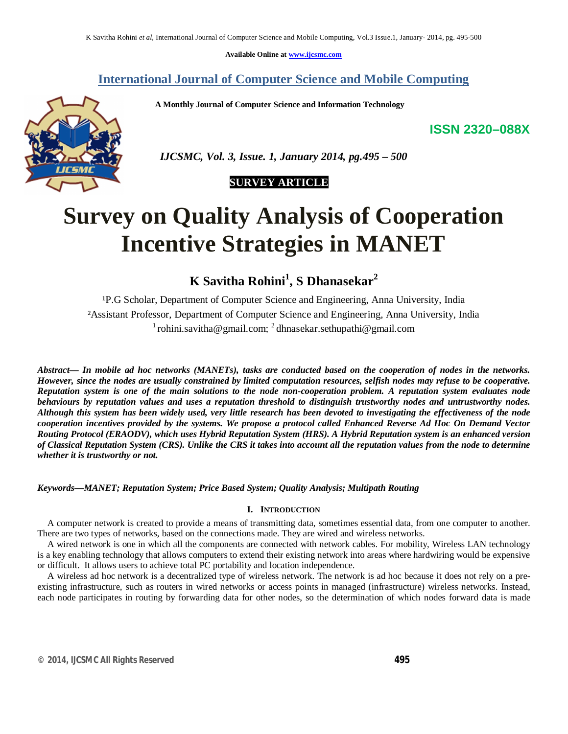**Available Online at www.ijcsmc.com**

## **International Journal of Computer Science and Mobile Computing**

 **A Monthly Journal of Computer Science and Information Technology**

**ISSN 2320–088X**



 *IJCSMC, Vol. 3, Issue. 1, January 2014, pg.495 – 500*

# **SURVEY ARTICLE**

# **Survey on Quality Analysis of Cooperation Incentive Strategies in MANET**

**K Savitha Rohini<sup>1</sup> , S Dhanasekar<sup>2</sup>**

P.G Scholar, Department of Computer Science and Engineering, Anna University, India ²Assistant Professor, Department of Computer Science and Engineering, Anna University, India  $^{1}$ rohini.savitha@gmail.com;  $^{2}$ dhnasekar.sethupathi@gmail.com

*Abstract— In mobile ad hoc networks (MANETs), tasks are conducted based on the cooperation of nodes in the networks. However, since the nodes are usually constrained by limited computation resources, selfish nodes may refuse to be cooperative. Reputation system is one of the main solutions to the node non-cooperation problem. A reputation system evaluates node behaviours by reputation values and uses a reputation threshold to distinguish trustworthy nodes and untrustworthy nodes. Although this system has been widely used, very little research has been devoted to investigating the effectiveness of the node cooperation incentives provided by the systems. We propose a protocol called Enhanced Reverse Ad Hoc On Demand Vector Routing Protocol (ERAODV), which uses Hybrid Reputation System (HRS). A Hybrid Reputation system is an enhanced version of Classical Reputation System (CRS). Unlike the CRS it takes into account all the reputation values from the node to determine whether it is trustworthy or not.* 

## *Keywords—MANET; Reputation System; Price Based System; Quality Analysis; Multipath Routing*

### **I. INTRODUCTION**

A computer network is created to provide a means of transmitting data, sometimes essential data, from one computer to another. There are two types of networks, based on the connections made. They are wired and wireless networks.

A wired network is one in which all the components are connected with network cables. For mobility, Wireless LAN technology is a key enabling technology that allows computers to extend their existing network into areas where hardwiring would be expensive or difficult. It allows users to achieve total PC portability and location independence.

A wireless ad hoc network is a decentralized type of wireless network. The network is ad hoc because it does not rely on a preexisting infrastructure, such as routers in wired networks or access points in managed (infrastructure) wireless networks. Instead, each node participates in routing by forwarding data for other nodes, so the determination of which nodes forward data is made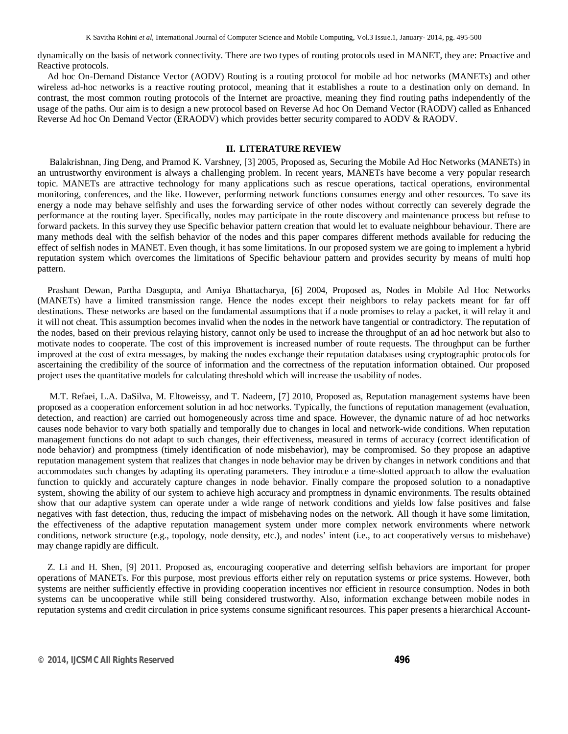dynamically on the basis of network connectivity. There are two types of routing protocols used in MANET, they are: Proactive and Reactive protocols.

Ad hoc On-Demand Distance Vector (AODV) Routing is a routing protocol for mobile ad hoc networks (MANETs) and other wireless ad-hoc networks is a reactive routing protocol, meaning that it establishes a route to a destination only on demand. In contrast, the most common routing protocols of the Internet are proactive, meaning they find routing paths independently of the usage of the paths. Our aim is to design a new protocol based on Reverse Ad hoc On Demand Vector (RAODV) called as Enhanced Reverse Ad hoc On Demand Vector (ERAODV) which provides better security compared to AODV & RAODV.

#### **II. LITERATURE REVIEW**

Balakrishnan, Jing Deng, and Pramod K. Varshney, [3] 2005, Proposed as, Securing the Mobile Ad Hoc Networks (MANETs) in an untrustworthy environment is always a challenging problem. In recent years, MANETs have become a very popular research topic. MANETs are attractive technology for many applications such as rescue operations, tactical operations, environmental monitoring, conferences, and the like. However, performing network functions consumes energy and other resources. To save its energy a node may behave selfishly and uses the forwarding service of other nodes without correctly can severely degrade the performance at the routing layer. Specifically, nodes may participate in the route discovery and maintenance process but refuse to forward packets. In this survey they use Specific behavior pattern creation that would let to evaluate neighbour behaviour. There are many methods deal with the selfish behavior of the nodes and this paper compares different methods available for reducing the effect of selfish nodes in MANET. Even though, it has some limitations. In our proposed system we are going to implement a hybrid reputation system which overcomes the limitations of Specific behaviour pattern and provides security by means of multi hop pattern.

Prashant Dewan, Partha Dasgupta, and Amiya Bhattacharya, [6] 2004, Proposed as, Nodes in Mobile Ad Hoc Networks (MANETs) have a limited transmission range. Hence the nodes except their neighbors to relay packets meant for far off destinations. These networks are based on the fundamental assumptions that if a node promises to relay a packet, it will relay it and it will not cheat. This assumption becomes invalid when the nodes in the network have tangential or contradictory. The reputation of the nodes, based on their previous relaying history, cannot only be used to increase the throughput of an ad hoc network but also to motivate nodes to cooperate. The cost of this improvement is increased number of route requests. The throughput can be further improved at the cost of extra messages, by making the nodes exchange their reputation databases using cryptographic protocols for ascertaining the credibility of the source of information and the correctness of the reputation information obtained. Our proposed project uses the quantitative models for calculating threshold which will increase the usability of nodes.

M.T. Refaei, L.A. DaSilva, M. Eltoweissy, and T. Nadeem, [7] 2010, Proposed as, Reputation management systems have been proposed as a cooperation enforcement solution in ad hoc networks. Typically, the functions of reputation management (evaluation, detection, and reaction) are carried out homogeneously across time and space. However, the dynamic nature of ad hoc networks causes node behavior to vary both spatially and temporally due to changes in local and network-wide conditions. When reputation management functions do not adapt to such changes, their effectiveness, measured in terms of accuracy (correct identification of node behavior) and promptness (timely identification of node misbehavior), may be compromised. So they propose an adaptive reputation management system that realizes that changes in node behavior may be driven by changes in network conditions and that accommodates such changes by adapting its operating parameters. They introduce a time-slotted approach to allow the evaluation function to quickly and accurately capture changes in node behavior. Finally compare the proposed solution to a nonadaptive system, showing the ability of our system to achieve high accuracy and promptness in dynamic environments. The results obtained show that our adaptive system can operate under a wide range of network conditions and yields low false positives and false negatives with fast detection, thus, reducing the impact of misbehaving nodes on the network. All though it have some limitation, the effectiveness of the adaptive reputation management system under more complex network environments where network conditions, network structure (e.g., topology, node density, etc.), and nodes' intent (i.e., to act cooperatively versus to misbehave) may change rapidly are difficult.

Z. Li and H. Shen, [9] 2011. Proposed as, encouraging cooperative and deterring selfish behaviors are important for proper operations of MANETs. For this purpose, most previous efforts either rely on reputation systems or price systems. However, both systems are neither sufficiently effective in providing cooperation incentives nor efficient in resource consumption. Nodes in both systems can be uncooperative while still being considered trustworthy. Also, information exchange between mobile nodes in reputation systems and credit circulation in price systems consume significant resources. This paper presents a hierarchical Account-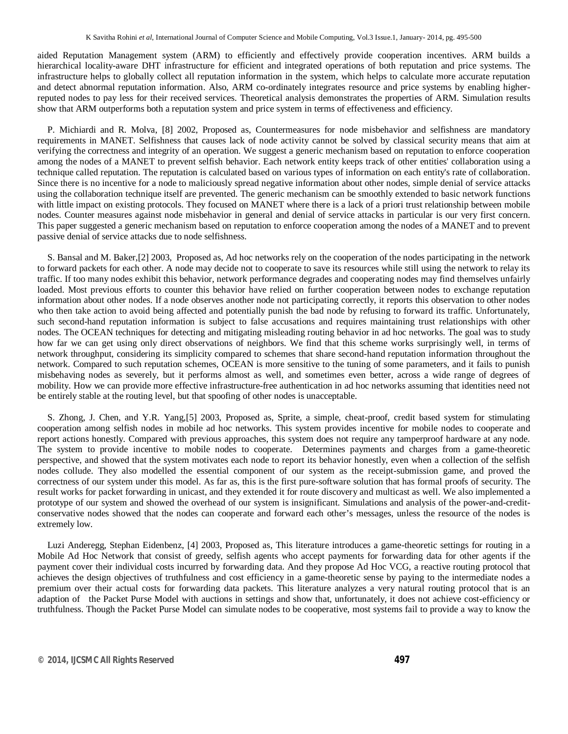aided Reputation Management system (ARM) to efficiently and effectively provide cooperation incentives. ARM builds a hierarchical locality-aware DHT infrastructure for efficient and integrated operations of both reputation and price systems. The infrastructure helps to globally collect all reputation information in the system, which helps to calculate more accurate reputation and detect abnormal reputation information. Also, ARM co-ordinately integrates resource and price systems by enabling higherreputed nodes to pay less for their received services. Theoretical analysis demonstrates the properties of ARM. Simulation results show that ARM outperforms both a reputation system and price system in terms of effectiveness and efficiency.

P. Michiardi and R. Molva, [8] 2002, Proposed as, Countermeasures for node misbehavior and selfishness are mandatory requirements in MANET. Selfishness that causes lack of node activity cannot be solved by classical security means that aim at verifying the correctness and integrity of an operation. We suggest a generic mechanism based on reputation to enforce cooperation among the nodes of a MANET to prevent selfish behavior. Each network entity keeps track of other entities' collaboration using a technique called reputation. The reputation is calculated based on various types of information on each entity's rate of collaboration. Since there is no incentive for a node to maliciously spread negative information about other nodes, simple denial of service attacks using the collaboration technique itself are prevented. The generic mechanism can be smoothly extended to basic network functions with little impact on existing protocols. They focused on MANET where there is a lack of a priori trust relationship between mobile nodes. Counter measures against node misbehavior in general and denial of service attacks in particular is our very first concern. This paper suggested a generic mechanism based on reputation to enforce cooperation among the nodes of a MANET and to prevent passive denial of service attacks due to node selfishness.

S. Bansal and M. Baker,[2] 2003, Proposed as, Ad hoc networks rely on the cooperation of the nodes participating in the network to forward packets for each other. A node may decide not to cooperate to save its resources while still using the network to relay its traffic. If too many nodes exhibit this behavior, network performance degrades and cooperating nodes may find themselves unfairly loaded. Most previous efforts to counter this behavior have relied on further cooperation between nodes to exchange reputation information about other nodes. If a node observes another node not participating correctly, it reports this observation to other nodes who then take action to avoid being affected and potentially punish the bad node by refusing to forward its traffic. Unfortunately, such second-hand reputation information is subject to false accusations and requires maintaining trust relationships with other nodes. The OCEAN techniques for detecting and mitigating misleading routing behavior in ad hoc networks. The goal was to study how far we can get using only direct observations of neighbors. We find that this scheme works surprisingly well, in terms of network throughput, considering its simplicity compared to schemes that share second-hand reputation information throughout the network. Compared to such reputation schemes, OCEAN is more sensitive to the tuning of some parameters, and it fails to punish misbehaving nodes as severely, but it performs almost as well, and sometimes even better, across a wide range of degrees of mobility. How we can provide more effective infrastructure-free authentication in ad hoc networks assuming that identities need not be entirely stable at the routing level, but that spoofing of other nodes is unacceptable.

S. Zhong, J. Chen, and Y.R. Yang,[5] 2003, Proposed as, Sprite, a simple, cheat-proof, credit based system for stimulating cooperation among selfish nodes in mobile ad hoc networks. This system provides incentive for mobile nodes to cooperate and report actions honestly. Compared with previous approaches, this system does not require any tamperproof hardware at any node. The system to provide incentive to mobile nodes to cooperate. Determines payments and charges from a game-theoretic perspective, and showed that the system motivates each node to report its behavior honestly, even when a collection of the selfish nodes collude. They also modelled the essential component of our system as the receipt-submission game, and proved the correctness of our system under this model. As far as, this is the first pure-software solution that has formal proofs of security. The result works for packet forwarding in unicast, and they extended it for route discovery and multicast as well. We also implemented a prototype of our system and showed the overhead of our system is insignificant. Simulations and analysis of the power-and-creditconservative nodes showed that the nodes can cooperate and forward each other's messages, unless the resource of the nodes is extremely low.

Luzi Anderegg, Stephan Eidenbenz, [4] 2003, Proposed as, This literature introduces a game-theoretic settings for routing in a Mobile Ad Hoc Network that consist of greedy, selfish agents who accept payments for forwarding data for other agents if the payment cover their individual costs incurred by forwarding data. And they propose Ad Hoc VCG, a reactive routing protocol that achieves the design objectives of truthfulness and cost efficiency in a game-theoretic sense by paying to the intermediate nodes a premium over their actual costs for forwarding data packets. This literature analyzes a very natural routing protocol that is an adaption of the Packet Purse Model with auctions in settings and show that, unfortunately, it does not achieve cost-efficiency or truthfulness. Though the Packet Purse Model can simulate nodes to be cooperative, most systems fail to provide a way to know the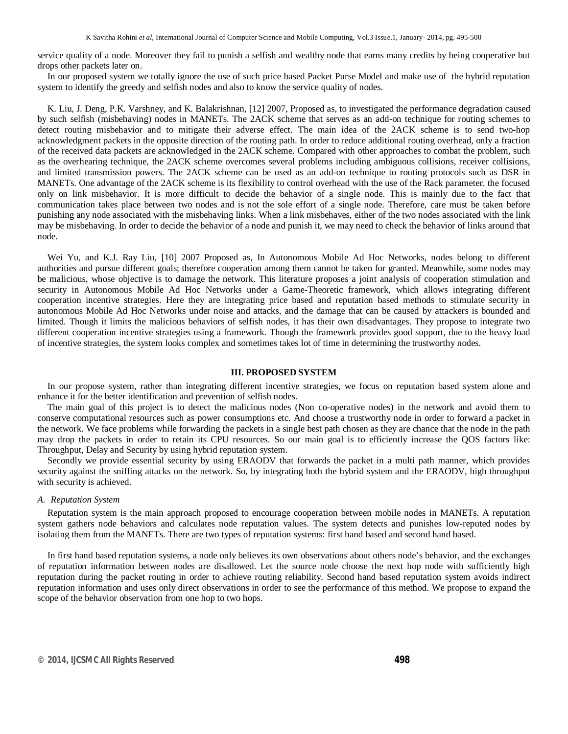service quality of a node. Moreover they fail to punish a selfish and wealthy node that earns many credits by being cooperative but drops other packets later on.

In our proposed system we totally ignore the use of such price based Packet Purse Model and make use of the hybrid reputation system to identify the greedy and selfish nodes and also to know the service quality of nodes.

K. Liu, J. Deng, P.K. Varshney, and K. Balakrishnan, [12] 2007, Proposed as, to investigated the performance degradation caused by such selfish (misbehaving) nodes in MANETs. The 2ACK scheme that serves as an add-on technique for routing schemes to detect routing misbehavior and to mitigate their adverse effect. The main idea of the 2ACK scheme is to send two-hop acknowledgment packets in the opposite direction of the routing path. In order to reduce additional routing overhead, only a fraction of the received data packets are acknowledged in the 2ACK scheme. Compared with other approaches to combat the problem, such as the overhearing technique, the 2ACK scheme overcomes several problems including ambiguous collisions, receiver collisions, and limited transmission powers. The 2ACK scheme can be used as an add-on technique to routing protocols such as DSR in MANETs. One advantage of the 2ACK scheme is its flexibility to control overhead with the use of the Rack parameter. the focused only on link misbehavior. It is more difficult to decide the behavior of a single node. This is mainly due to the fact that communication takes place between two nodes and is not the sole effort of a single node. Therefore, care must be taken before punishing any node associated with the misbehaving links. When a link misbehaves, either of the two nodes associated with the link may be misbehaving. In order to decide the behavior of a node and punish it, we may need to check the behavior of links around that node.

Wei Yu, and K.J. Ray Liu, [10] 2007 Proposed as, In Autonomous Mobile Ad Hoc Networks, nodes belong to different authorities and pursue different goals; therefore cooperation among them cannot be taken for granted. Meanwhile, some nodes may be malicious, whose objective is to damage the network. This literature proposes a joint analysis of cooperation stimulation and security in Autonomous Mobile Ad Hoc Networks under a Game-Theoretic framework, which allows integrating different cooperation incentive strategies. Here they are integrating price based and reputation based methods to stimulate security in autonomous Mobile Ad Hoc Networks under noise and attacks, and the damage that can be caused by attackers is bounded and limited. Though it limits the malicious behaviors of selfish nodes, it has their own disadvantages. They propose to integrate two different cooperation incentive strategies using a framework. Though the framework provides good support, due to the heavy load of incentive strategies, the system looks complex and sometimes takes lot of time in determining the trustworthy nodes.

#### **III. PROPOSED SYSTEM**

In our propose system, rather than integrating different incentive strategies, we focus on reputation based system alone and enhance it for the better identification and prevention of selfish nodes.

The main goal of this project is to detect the malicious nodes (Non co-operative nodes) in the network and avoid them to conserve computational resources such as power consumptions etc. And choose a trustworthy node in order to forward a packet in the network. We face problems while forwarding the packets in a single best path chosen as they are chance that the node in the path may drop the packets in order to retain its CPU resources. So our main goal is to efficiently increase the QOS factors like: Throughput, Delay and Security by using hybrid reputation system.

Secondly we provide essential security by using ERAODV that forwards the packet in a multi path manner, which provides security against the sniffing attacks on the network. So, by integrating both the hybrid system and the ERAODV, high throughput with security is achieved.

#### *A. Reputation System*

Reputation system is the main approach proposed to encourage cooperation between mobile nodes in MANETs. A reputation system gathers node behaviors and calculates node reputation values. The system detects and punishes low-reputed nodes by isolating them from the MANETs. There are two types of reputation systems: first hand based and second hand based.

In first hand based reputation systems, a node only believes its own observations about others node's behavior, and the exchanges of reputation information between nodes are disallowed. Let the source node choose the next hop node with sufficiently high reputation during the packet routing in order to achieve routing reliability. Second hand based reputation system avoids indirect reputation information and uses only direct observations in order to see the performance of this method. We propose to expand the scope of the behavior observation from one hop to two hops.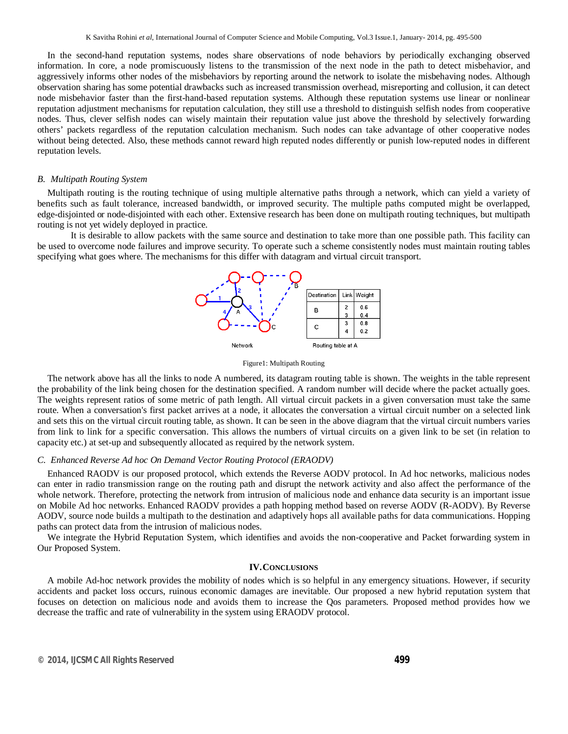In the second-hand reputation systems, nodes share observations of node behaviors by periodically exchanging observed information. In core, a node promiscuously listens to the transmission of the next node in the path to detect misbehavior, and aggressively informs other nodes of the misbehaviors by reporting around the network to isolate the misbehaving nodes. Although observation sharing has some potential drawbacks such as increased transmission overhead, misreporting and collusion, it can detect node misbehavior faster than the first-hand-based reputation systems. Although these reputation systems use linear or nonlinear reputation adjustment mechanisms for reputation calculation, they still use a threshold to distinguish selfish nodes from cooperative nodes. Thus, clever selfish nodes can wisely maintain their reputation value just above the threshold by selectively forwarding others' packets regardless of the reputation calculation mechanism. Such nodes can take advantage of other cooperative nodes without being detected. Also, these methods cannot reward high reputed nodes differently or punish low-reputed nodes in different reputation levels.

#### *B. Multipath Routing System*

Multipath routing is the routing technique of using multiple alternative paths through a network, which can yield a variety of benefits such as fault tolerance, increased bandwidth, or improved security. The multiple paths computed might be overlapped, edge-disjointed or node-disjointed with each other. Extensive research has been done on multipath routing techniques, but multipath routing is not yet widely deployed in practice.

It is desirable to allow packets with the same source and destination to take more than one possible path. This facility can be used to overcome node failures and improve security. To operate such a scheme consistently nodes must maintain routing tables specifying what goes where. The mechanisms for this differ with datagram and virtual circuit transport.



Figure1: Multipath Routing

The network above has all the links to node A numbered, its datagram routing table is shown. The weights in the table represent the probability of the link being chosen for the destination specified. A random number will decide where the packet actually goes. The weights represent ratios of some metric of path length. All virtual circuit packets in a given conversation must take the same route. When a conversation's first packet arrives at a node, it allocates the conversation a virtual circuit number on a selected link and sets this on the virtual circuit routing table, as shown. It can be seen in the above diagram that the virtual circuit numbers varies from link to link for a specific conversation. This allows the numbers of virtual circuits on a given link to be set (in relation to capacity etc.) at set-up and subsequently allocated as required by the network system.

#### *C. Enhanced Reverse Ad hoc On Demand Vector Routing Protocol (ERAODV)*

Enhanced RAODV is our proposed protocol, which extends the Reverse AODV protocol. In Ad hoc networks, malicious nodes can enter in radio transmission range on the routing path and disrupt the network activity and also affect the performance of the whole network. Therefore, protecting the network from intrusion of malicious node and enhance data security is an important issue on Mobile Ad hoc networks. Enhanced RAODV provides a path hopping method based on reverse AODV (R-AODV). By Reverse AODV, source node builds a multipath to the destination and adaptively hops all available paths for data communications. Hopping paths can protect data from the intrusion of malicious nodes.

We integrate the Hybrid Reputation System, which identifies and avoids the non-cooperative and Packet forwarding system in Our Proposed System.

#### **IV.CONCLUSIONS**

A mobile Ad-hoc network provides the mobility of nodes which is so helpful in any emergency situations. However, if security accidents and packet loss occurs, ruinous economic damages are inevitable. Our proposed a new hybrid reputation system that focuses on detection on malicious node and avoids them to increase the Qos parameters. Proposed method provides how we decrease the traffic and rate of vulnerability in the system using ERAODV protocol.